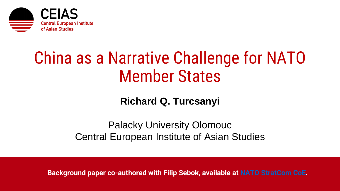

# China as a Narrative Challenge for NATO Member States

**Richard Q. Turcsanyi**

Palacky University Olomouc Central European Institute of Asian Studies

**Background paper co-authored with Filip Sebok, available at [NATO StratCom](https://stratcomcoe.org/publications/china-as-a-narrative-challenge-for-nato-member-states/220) CoE.**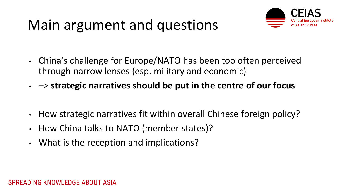#### Main argument and questions



- China's challenge for Europe/NATO has been too often perceived through narrow lenses (esp. military and economic)
- –> **strategic narratives should be put in the centre of our focus**
- How strategic narratives fit within overall Chinese foreign policy?
- How China talks to NATO (member states)?
- What is the reception and implications?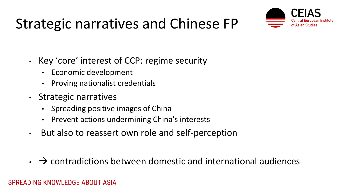### Strategic narratives and Chinese FP



- Key 'core' interest of CCP: regime security
	- Economic development
	- Proving nationalist credentials
- Strategic narratives
	- Spreading positive images of China
	- Prevent actions undermining China's interests
- But also to reassert own role and self-perception
- $\cdot$   $\rightarrow$  contradictions between domestic and international audiences

#### SPREADING KNOWLEDGE ABOUT ASIA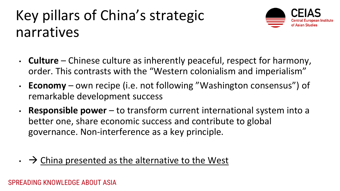# Key pillars of China's strategic narratives



- **Culture** Chinese culture as inherently peaceful, respect for harmony, order. This contrasts with the "Western colonialism and imperialism"
- **Economy** own recipe (i.e. not following "Washington consensus") of remarkable development success
- **Responsible power**  to transform current international system into a better one, share economic success and contribute to global governance. Non-interference as a key principle.
- $\rightarrow$  China presented as the alternative to the West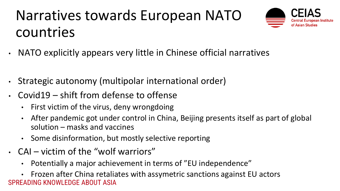# Narratives towards European NATO countries



- NATO explicitly appears very little in Chinese official narratives
- Strategic autonomy (multipolar international order)
- Covid19 shift from defense to offense
	- First victim of the virus, deny wrongdoing
	- After pandemic got under control in China, Beijing presents itself as part of global solution – masks and vaccines
	- Some disinformation, but mostly selective reporting
- CAI victim of the "wolf warriors"
	- Potentially a major achievement in terms of "EU independence"

SPREADING KNOWLEDGE ABOUT ASIA • Frozen after China retaliates with assymetric sanctions against EU actors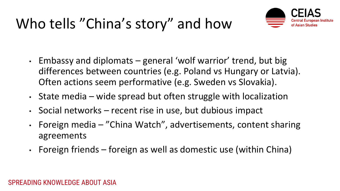### Who tells "China's story" and how



- Embassy and diplomats general 'wolf warrior' trend, but big differences between countries (e.g. Poland vs Hungary or Latvia). Often actions seem performative (e.g. Sweden vs Slovakia).
- State media wide spread but often struggle with localization
- Social networks recent rise in use, but dubious impact
- Foreign media "China Watch", advertisements, content sharing agreements
- Foreign friends foreign as well as domestic use (within China)